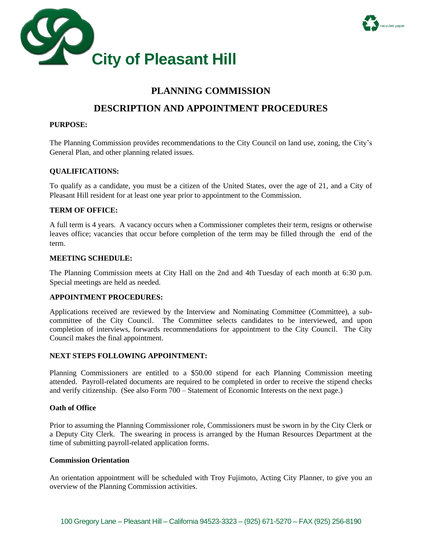



# **PLANNING COMMISSION**

## **DESCRIPTION AND APPOINTMENT PROCEDURES**

#### **PURPOSE:**

The Planning Commission provides recommendations to the City Council on land use, zoning, the City's General Plan, and other planning related issues.

#### **QUALIFICATIONS:**

To qualify as a candidate, you must be a citizen of the United States, over the age of 21, and a City of Pleasant Hill resident for at least one year prior to appointment to the Commission.

#### **TERM OF OFFICE:**

A full term is 4 years. A vacancy occurs when a Commissioner completes their term, resigns or otherwise leaves office; vacancies that occur before completion of the term may be filled through the end of the term.

#### **MEETING SCHEDULE:**

The Planning Commission meets at City Hall on the 2nd and 4th Tuesday of each month at 6:30 p.m. Special meetings are held as needed.

#### **APPOINTMENT PROCEDURES:**

Applications received are reviewed by the Interview and Nominating Committee (Committee), a subcommittee of the City Council. The Committee selects candidates to be interviewed, and upon completion of interviews, forwards recommendations for appointment to the City Council. The City Council makes the final appointment.

#### **NEXT STEPS FOLLOWING APPOINTMENT:**

Planning Commissioners are entitled to a \$50.00 stipend for each Planning Commission meeting attended. Payroll-related documents are required to be completed in order to receive the stipend checks and verify citizenship. (See also Form 700 – Statement of Economic Interests on the next page.)

#### **Oath of Office**

Prior to assuming the Planning Commissioner role, Commissioners must be sworn in by the City Clerk or a Deputy City Clerk. The swearing in process is arranged by the Human Resources Department at the time of submitting payroll-related application forms.

#### **Commission Orientation**

An orientation appointment will be scheduled with Troy Fujimoto, Acting City Planner, to give you an overview of the Planning Commission activities.